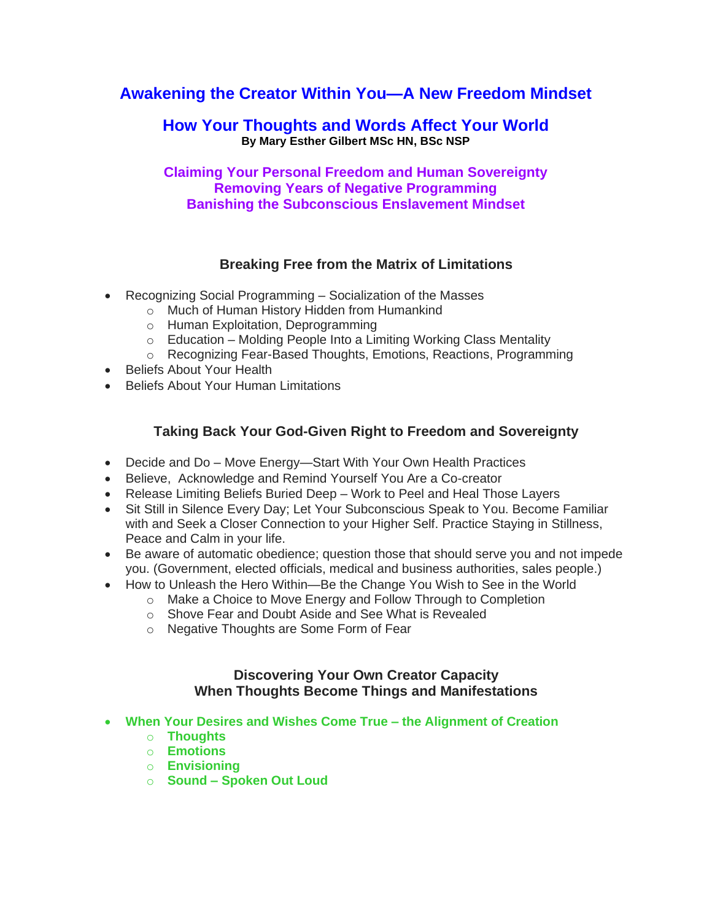# **Awakening the Creator Within You—A New Freedom Mindset**

## **How Your Thoughts and Words Affect Your World By Mary Esther Gilbert MSc HN, BSc NSP**

### **Claiming Your Personal Freedom and Human Sovereignty Removing Years of Negative Programming Banishing the Subconscious Enslavement Mindset**

### **Breaking Free from the Matrix of Limitations**

- Recognizing Social Programming Socialization of the Masses
	- o Much of Human History Hidden from Humankind
	- o Human Exploitation, Deprogramming
	- o Education Molding People Into a Limiting Working Class Mentality
	- o Recognizing Fear-Based Thoughts, Emotions, Reactions, Programming
- Beliefs About Your Health
- Beliefs About Your Human Limitations

### **Taking Back Your God-Given Right to Freedom and Sovereignty**

- Decide and Do Move Energy—Start With Your Own Health Practices
- Believe, Acknowledge and Remind Yourself You Are a Co-creator
- Release Limiting Beliefs Buried Deep Work to Peel and Heal Those Layers
- Sit Still in Silence Every Day; Let Your Subconscious Speak to You. Become Familiar with and Seek a Closer Connection to your Higher Self. Practice Staying in Stillness, Peace and Calm in your life.
- Be aware of automatic obedience; question those that should serve you and not impede you. (Government, elected officials, medical and business authorities, sales people.)
- How to Unleash the Hero Within—Be the Change You Wish to See in the World
	- o Make a Choice to Move Energy and Follow Through to Completion
	- o Shove Fear and Doubt Aside and See What is Revealed
	- o Negative Thoughts are Some Form of Fear

#### **Discovering Your Own Creator Capacity When Thoughts Become Things and Manifestations**

- **When Your Desires and Wishes Come True – the Alignment of Creation**
	- o **Thoughts**
	- o **Emotions**
	- o **Envisioning**
	- o **Sound – Spoken Out Loud**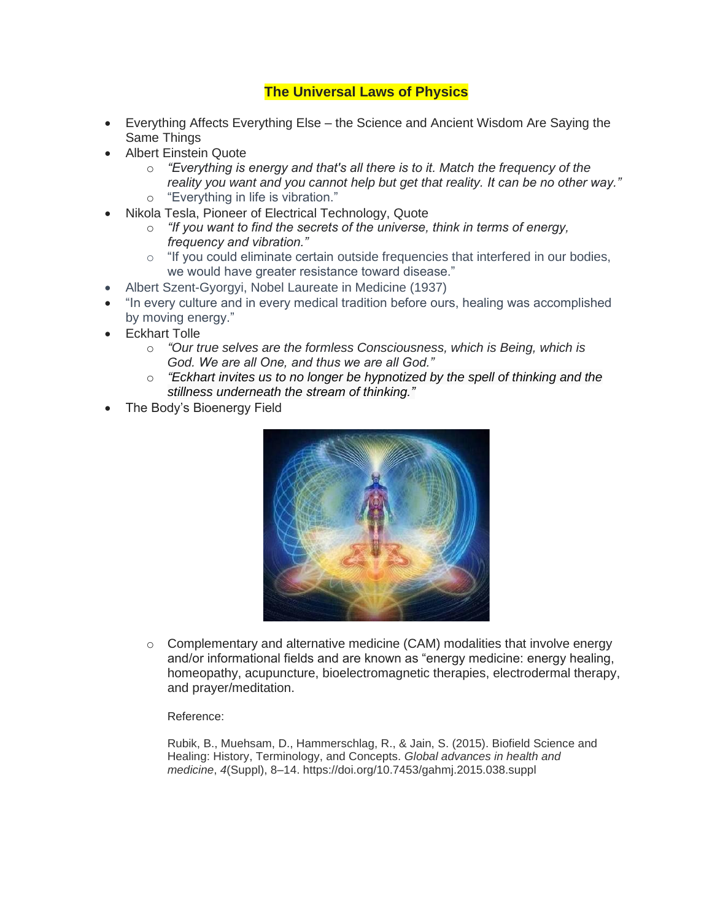## **The Universal Laws of Physics**

- Everything Affects Everything Else the Science and Ancient Wisdom Are Saying the Same Things
- Albert Einstein Quote
	- o *"Everything is energy and that's all there is to it. Match the frequency of the reality you want and you cannot help but get that reality. It can be no other way."*
	- o "Everything in life is vibration."
- Nikola Tesla, Pioneer of Electrical Technology, Quote
	- o *"If you want to find the secrets of the universe, think in terms of energy, frequency and vibration."*
	- $\circ$  "If you could eliminate certain outside frequencies that interfered in our bodies, we would have greater resistance toward disease."
- Albert Szent-Gyorgyi, Nobel Laureate in Medicine (1937)
- "In every culture and in every medical tradition before ours, healing was accomplished by moving energy."
- Eckhart Tolle
	- o *"Our true selves are the formless Consciousness, which is Being, which is God. We are all One, and thus we are all God."*
	- o *"Eckhart invites us to no longer be hypnotized by the spell of thinking and the stillness underneath the stream of thinking."*
- The Body's Bioenergy Field



 $\circ$  Complementary and alternative medicine (CAM) modalities that involve energy and/or informational fields and are known as "energy medicine: energy healing, homeopathy, acupuncture, bioelectromagnetic therapies, electrodermal therapy, and prayer/meditation.

Reference:

Rubik, B., Muehsam, D., Hammerschlag, R., & Jain, S. (2015). Biofield Science and Healing: History, Terminology, and Concepts. *Global advances in health and medicine*, *4*(Suppl), 8–14. https://doi.org/10.7453/gahmj.2015.038.suppl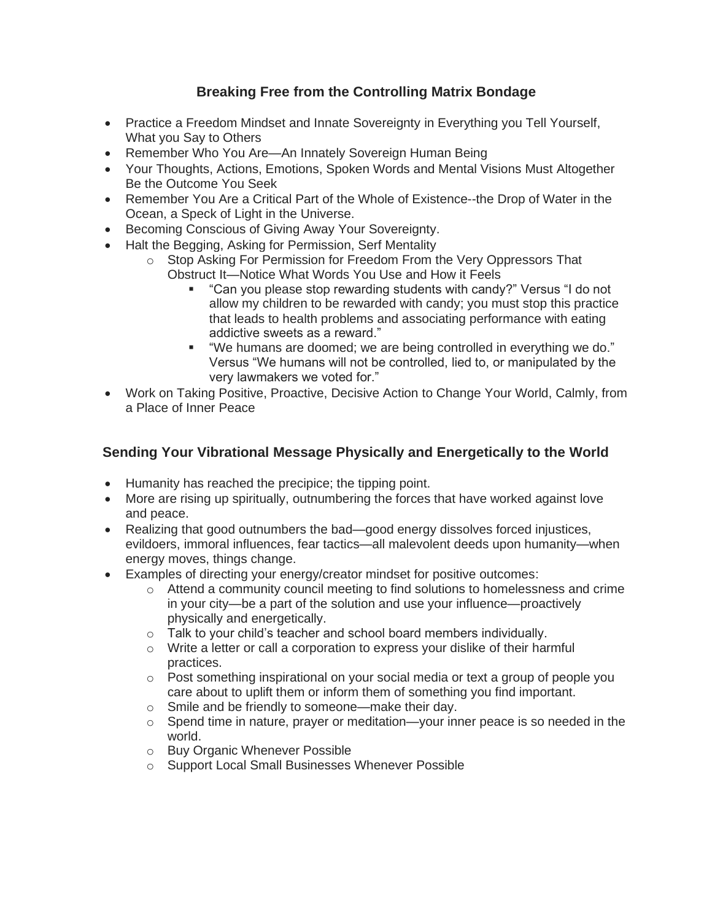## **Breaking Free from the Controlling Matrix Bondage**

- Practice a Freedom Mindset and Innate Sovereignty in Everything you Tell Yourself, What you Say to Others
- Remember Who You Are—An Innately Sovereign Human Being
- Your Thoughts, Actions, Emotions, Spoken Words and Mental Visions Must Altogether Be the Outcome You Seek
- Remember You Are a Critical Part of the Whole of Existence--the Drop of Water in the Ocean, a Speck of Light in the Universe.
- Becoming Conscious of Giving Away Your Sovereignty.
- Halt the Begging, Asking for Permission, Serf Mentality
	- o Stop Asking For Permission for Freedom From the Very Oppressors That Obstruct It—Notice What Words You Use and How it Feels
		- "Can you please stop rewarding students with candy?" Versus "I do not allow my children to be rewarded with candy; you must stop this practice that leads to health problems and associating performance with eating addictive sweets as a reward."
		- "We humans are doomed; we are being controlled in everything we do." Versus "We humans will not be controlled, lied to, or manipulated by the very lawmakers we voted for."
- Work on Taking Positive, Proactive, Decisive Action to Change Your World, Calmly, from a Place of Inner Peace

### **Sending Your Vibrational Message Physically and Energetically to the World**

- Humanity has reached the precipice; the tipping point.
- More are rising up spiritually, outnumbering the forces that have worked against love and peace.
- Realizing that good outnumbers the bad—good energy dissolves forced injustices, evildoers, immoral influences, fear tactics—all malevolent deeds upon humanity—when energy moves, things change.
- Examples of directing your energy/creator mindset for positive outcomes:
	- o Attend a community council meeting to find solutions to homelessness and crime in your city—be a part of the solution and use your influence—proactively physically and energetically.
	- o Talk to your child's teacher and school board members individually.
	- o Write a letter or call a corporation to express your dislike of their harmful practices.
	- $\circ$  Post something inspirational on your social media or text a group of people you care about to uplift them or inform them of something you find important.
	- o Smile and be friendly to someone—make their day.
	- $\circ$  Spend time in nature, prayer or meditation—your inner peace is so needed in the world.
	- o Buy Organic Whenever Possible
	- o Support Local Small Businesses Whenever Possible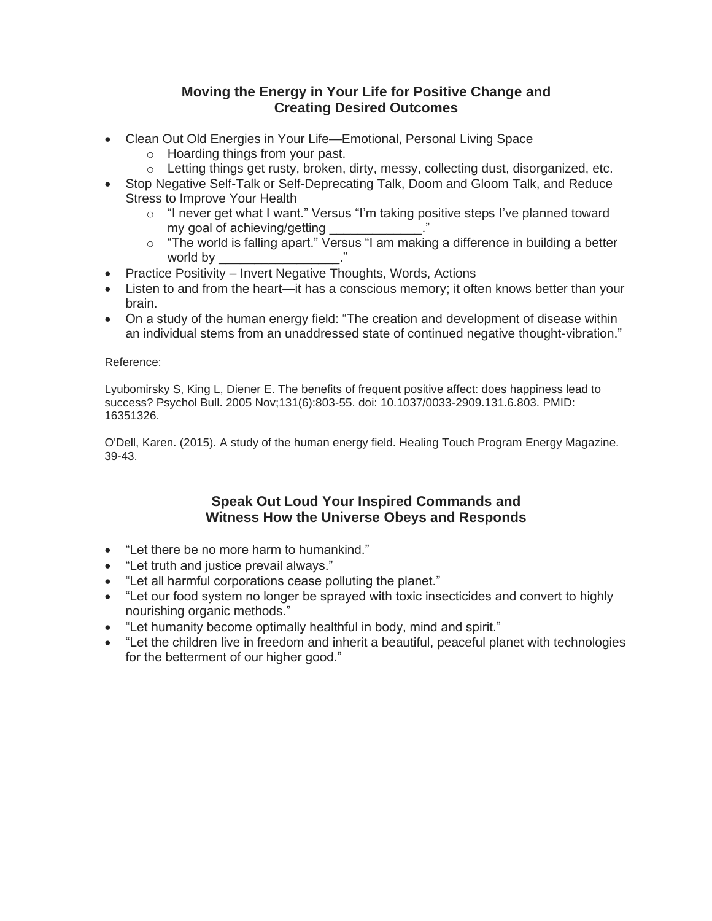#### **Moving the Energy in Your Life for Positive Change and Creating Desired Outcomes**

- Clean Out Old Energies in Your Life—Emotional, Personal Living Space
	- o Hoarding things from your past.
	- $\circ$  Letting things get rusty, broken, dirty, messy, collecting dust, disorganized, etc.
- Stop Negative Self-Talk or Self-Deprecating Talk, Doom and Gloom Talk, and Reduce Stress to Improve Your Health
	- o "I never get what I want." Versus "I'm taking positive steps I've planned toward my goal of achieving/getting
	- o "The world is falling apart." Versus "I am making a difference in building a better world by
- Practice Positivity Invert Negative Thoughts, Words, Actions
- Listen to and from the heart—it has a conscious memory; it often knows better than your brain.
- On a study of the human energy field: "The creation and development of disease within an individual stems from an unaddressed state of continued negative thought-vibration."

#### Reference:

Lyubomirsky S, King L, Diener E. The benefits of frequent positive affect: does happiness lead to success? Psychol Bull. 2005 Nov;131(6):803-55. doi: 10.1037/0033-2909.131.6.803. PMID: 16351326.

O'Dell, Karen. (2015). A study of the human energy field. Healing Touch Program Energy Magazine. 39-43.

#### **Speak Out Loud Your Inspired Commands and Witness How the Universe Obeys and Responds**

- "Let there be no more harm to humankind."
- "Let truth and justice prevail always."
- "Let all harmful corporations cease polluting the planet."
- "Let our food system no longer be sprayed with toxic insecticides and convert to highly nourishing organic methods."
- "Let humanity become optimally healthful in body, mind and spirit."
- "Let the children live in freedom and inherit a beautiful, peaceful planet with technologies for the betterment of our higher good."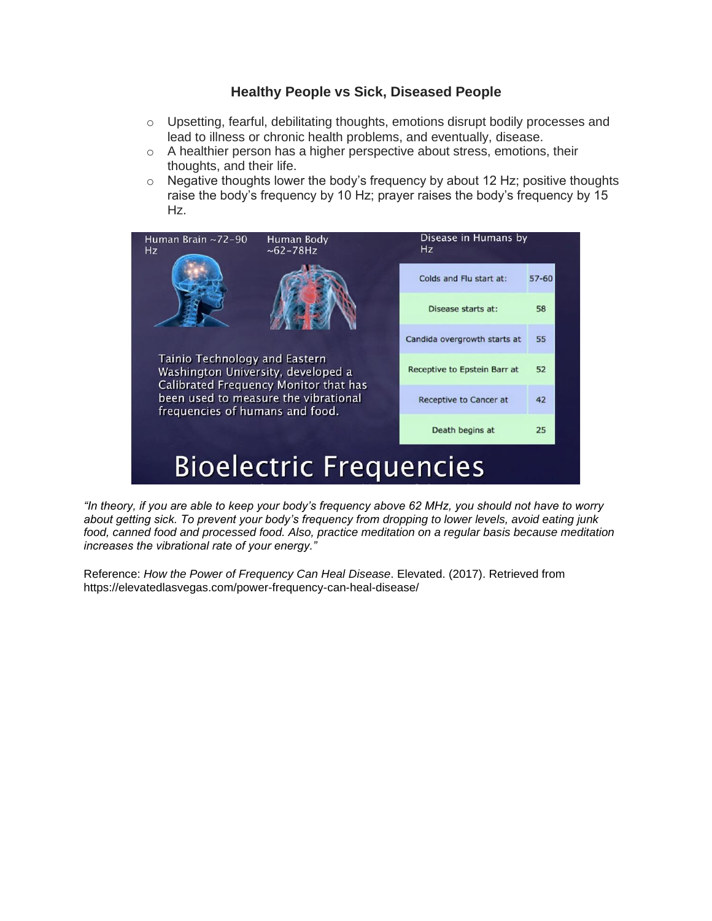#### **Healthy People vs Sick, Diseased People**

- $\circ$  Upsetting, fearful, debilitating thoughts, emotions disrupt bodily processes and lead to illness or chronic health problems, and eventually, disease.
- o A healthier person has a higher perspective about stress, emotions, their thoughts, and their life.
- $\circ$  Negative thoughts lower the body's frequency by about 12 Hz; positive thoughts raise the body's frequency by 10 Hz; prayer raises the body's frequency by 15 Hz.



*"In theory, if you are able to keep your body's frequency above 62 MHz, you should not have to worry about getting sick. To prevent your body's frequency from dropping to lower levels, avoid eating junk food, canned food and processed food. Also, practice meditation on a regular basis because meditation increases the vibrational rate of your energy."*

Reference: *How the Power of Frequency Can Heal Disease*. Elevated. (2017). Retrieved from https://elevatedlasvegas.com/power-frequency-can-heal-disease/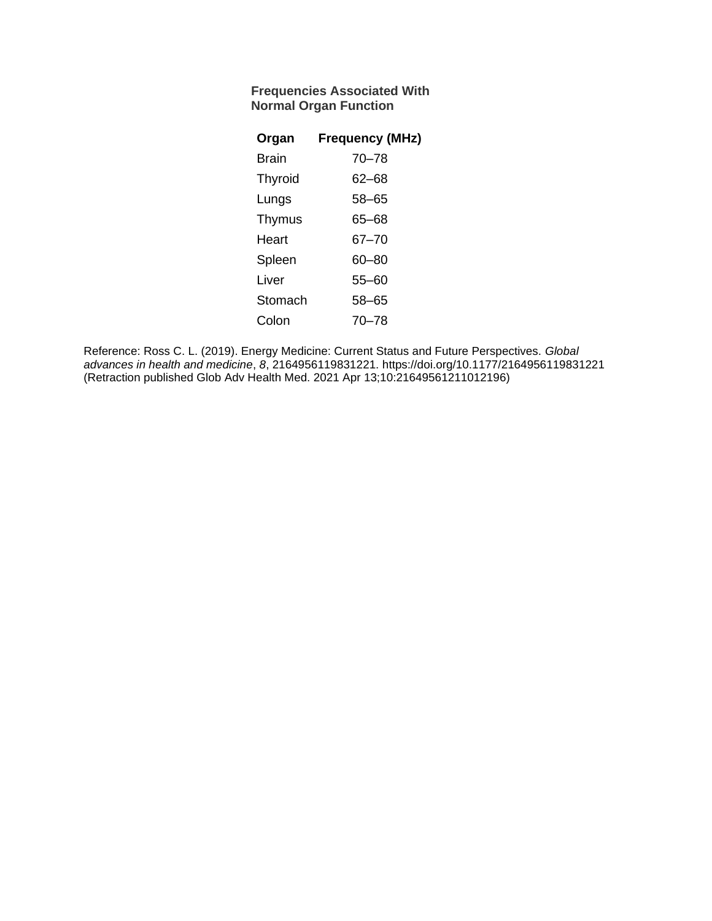#### **Frequencies Associated With Normal Organ Function**

| Organ          | <b>Frequency (MHz)</b> |
|----------------|------------------------|
| Brain          | $70 - 78$              |
| <b>Thyroid</b> | 62–68                  |
| Lungs          | 58-65                  |
| Thymus         | 65–68                  |
| Heart          | 67–70                  |
| Spleen         | 60–80                  |
| Liver          | 55-60                  |
| Stomach        | 58-65                  |
| Colon          | 70–78                  |

Reference: Ross C. L. (2019). Energy Medicine: Current Status and Future Perspectives. *Global advances in health and medicine*, *8*, 2164956119831221. https://doi.org/10.1177/2164956119831221 (Retraction published Glob Adv Health Med. 2021 Apr 13;10:21649561211012196)